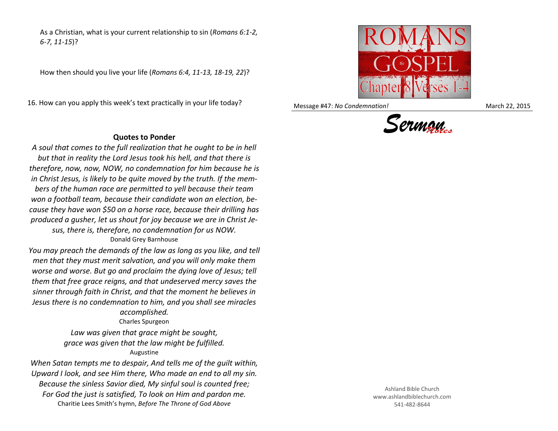As a Christian, what is your current relationship to sin (*Romans 6:1-2, 6-7, 11-15*)?

How then should you live your life (*Romans 6:4, 11-13, 18-19, 22*)?

16. How can you apply this week's text practically in your life today?

## **Quotes to Ponder**

*A soul that comes to the full realization that he ought to be in hell but that in reality the Lord Jesus took his hell, and that there is therefore, now, now, NOW, no condemnation for him because he is in Christ Jesus, is likely to be quite moved by the truth. If the members of the human race are permitted to yell because their team won a football team, because their candidate won an election, because they have won \$50 on a horse race, because their drilling has produced a gusher, let us shout for joy because we are in Christ Jesus, there is, therefore, no condemnation for us NOW.* Donald Grey Barnhouse

*You may preach the demands of the law as long as you like, and tell men that they must merit salvation, and you will only make them worse and worse. But go and proclaim the dying love of Jesus; tell them that free grace reigns, and that undeserved mercy saves the sinner through faith in Christ, and that the moment he believes in Jesus there is no condemnation to him, and you shall see miracles* 

## *accomplished.*

Charles Spurgeon

*Law was given that grace might be sought, grace was given that the law might be fulfilled.* Augustine

*When Satan tempts me to despair, And tells me of the guilt within, Upward I look, and see Him there, Who made an end to all my sin. Because the sinless Savior died, My sinful soul is counted free; For God the just is satisfied, To look on Him and pardon me.* Charitie Lees Smith's hymn, *Before The Throne of God Above*



Message #47: *No Condemnation!* March 22, 2015



Ashland Bible Church www.ashlandbiblechurch.com 541-482-8644